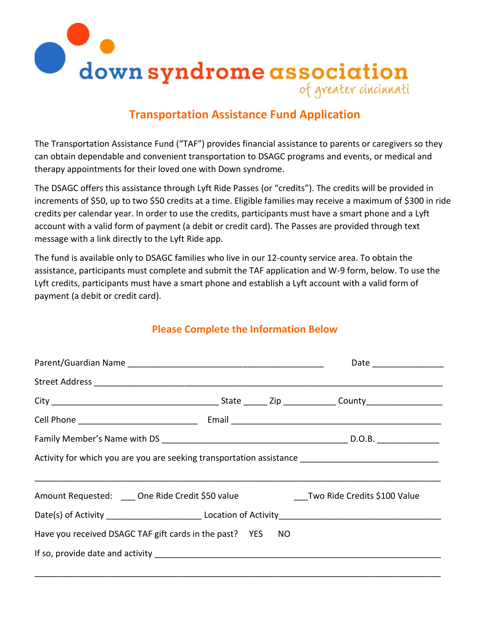

# **Transportation Assistance Fund Application**

The Transportation Assistance Fund ("TAF") provides financial assistance to parents or caregivers so they can obtain dependable and convenient transportation to DSAGC programs and events, or medical and therapy appointments for their loved one with Down syndrome.

The DSAGC offers this assistance through Lyft Ride Passes (or "credits"). The credits will be provided in increments of \$50, up to two \$50 credits at a time. Eligible families may receive a maximum of \$300 in ride credits per calendar year. In order to use the credits, participants must have a smart phone and a Lyft account with a valid form of payment (a debit or credit card). The Passes are provided through text message with a link directly to the Lyft Ride app.

The fund is available only to DSAGC families who live in our 12-county service area. To obtain the assistance, participants must complete and submit the TAF application and W-9 form, below. To use the Lyft credits, participants must have a smart phone and establish a Lyft account with a valid form of payment (a debit or credit card).

## **Please Complete the Information Below**

| Activity for which you are you are seeking transportation assistance ______________________________ |  |  |  |  |  |  |
|-----------------------------------------------------------------------------------------------------|--|--|--|--|--|--|
| Amount Requested: ____ One Ride Credit \$50 value _______________Two Ride Credits \$100 Value       |  |  |  |  |  |  |
|                                                                                                     |  |  |  |  |  |  |
| Have you received DSAGC TAF gift cards in the past? YES NO                                          |  |  |  |  |  |  |
|                                                                                                     |  |  |  |  |  |  |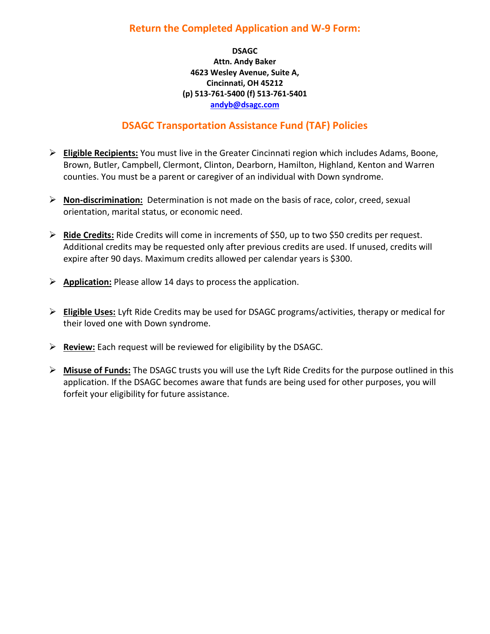## **Return the Completed Application and W-9 Form:**

#### **DSAGC Attn. Andy Baker 4623 Wesley Avenue, Suite A, Cincinnati, OH 45212 (p) 513-761-5400 (f) 513-761-5401 [andyb@dsagc.com](mailto:andyb@dsagc.com)**

## **DSAGC Transportation Assistance Fund (TAF) Policies**

- ➢ **Eligible Recipients:** You must live in the Greater Cincinnati region which includes Adams, Boone, Brown, Butler, Campbell, Clermont, Clinton, Dearborn, Hamilton, Highland, Kenton and Warren counties. You must be a parent or caregiver of an individual with Down syndrome.
- ➢ **Non-discrimination:** Determination is not made on the basis of race, color, creed, sexual orientation, marital status, or economic need.
- ➢ **Ride Credits:** Ride Credits will come in increments of \$50, up to two \$50 credits per request. Additional credits may be requested only after previous credits are used. If unused, credits will expire after 90 days. Maximum credits allowed per calendar years is \$300.
- ➢ **Application:** Please allow 14 days to process the application.
- ➢ **Eligible Uses:** Lyft Ride Credits may be used for DSAGC programs/activities, therapy or medical for their loved one with Down syndrome.
- ➢ **Review:** Each request will be reviewed for eligibility by the DSAGC.
- ➢ **Misuse of Funds:** The DSAGC trusts you will use the Lyft Ride Credits for the purpose outlined in this application. If the DSAGC becomes aware that funds are being used for other purposes, you will forfeit your eligibility for future assistance.